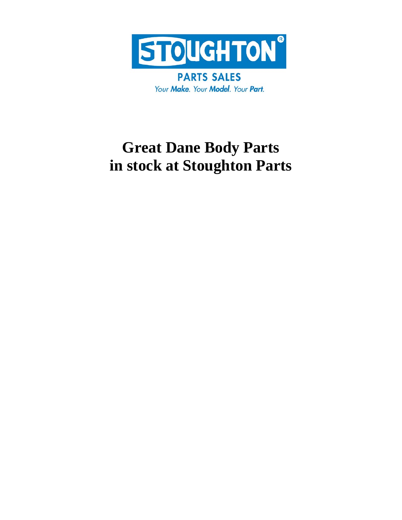

**PARTS SALES** Your Make. Your Model. Your Part.

# **Great Dane Body Parts in stock at Stoughton Parts**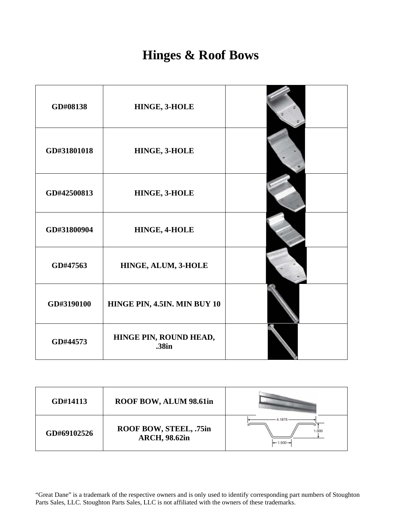### **Hinges & Roof Bows**

| GD#08138    | HINGE, 3-HOLE                   |  |
|-------------|---------------------------------|--|
| GD#31801018 | HINGE, 3-HOLE                   |  |
| GD#42500813 | HINGE, 3-HOLE                   |  |
| GD#31800904 | HINGE, 4-HOLE                   |  |
| GD#47563    | HINGE, ALUM, 3-HOLE             |  |
| GD#3190100  | HINGE PIN, 4.5IN. MIN BUY 10    |  |
| GD#44573    | HINGE PIN, ROUND HEAD,<br>.38in |  |

| GD#14113    | ROOF BOW, ALUM 98.61in                         |                     |
|-------------|------------------------------------------------|---------------------|
| GD#69102526 | ROOF BOW, STEEL, .75in<br><b>ARCH, 98.62in</b> | 1.000<br>$+1.500 -$ |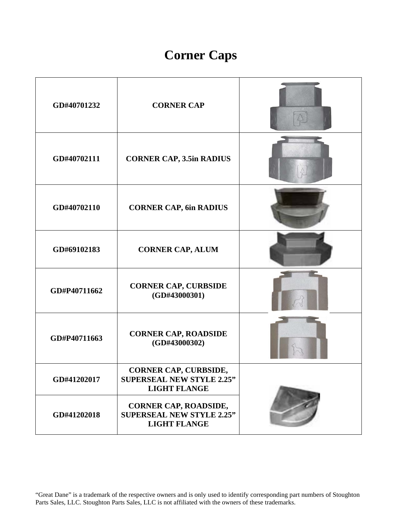## **Corner Caps**

| GD#40701232  | <b>CORNER CAP</b>                                                                       |  |
|--------------|-----------------------------------------------------------------------------------------|--|
| GD#40702111  | <b>CORNER CAP, 3.5in RADIUS</b>                                                         |  |
| GD#40702110  | <b>CORNER CAP, 6in RADIUS</b>                                                           |  |
| GD#69102183  | <b>CORNER CAP, ALUM</b>                                                                 |  |
| GD#P40711662 | <b>CORNER CAP, CURBSIDE</b><br>(GD#43000301)                                            |  |
| GD#P40711663 | <b>CORNER CAP, ROADSIDE</b><br>(GD#43000302)                                            |  |
| GD#41202017  | <b>CORNER CAP, CURBSIDE,</b><br><b>SUPERSEAL NEW STYLE 2.25"</b><br><b>LIGHT FLANGE</b> |  |
| GD#41202018  | <b>CORNER CAP, ROADSIDE,</b><br><b>SUPERSEAL NEW STYLE 2.25"</b><br><b>LIGHT FLANGE</b> |  |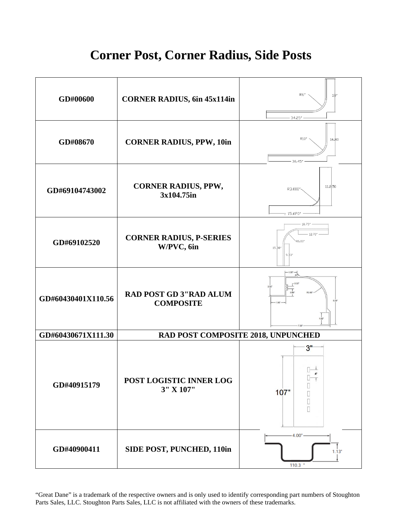#### **Corner Post, Corner Radius, Side Posts**



"Great Dane" is a trademark of the respective owners and is only used to identify corresponding part numbers of Stoughton Parts Sales, LLC. Stoughton Parts Sales, LLC is not affiliated with the owners of these trademarks.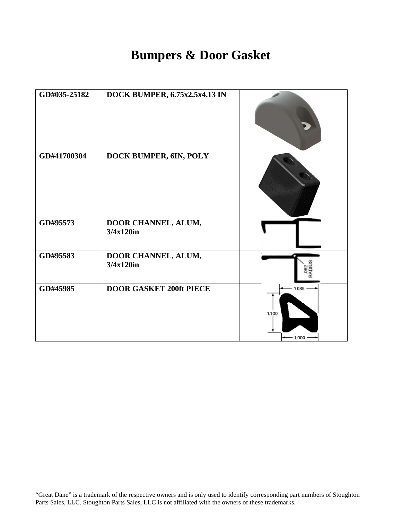#### **Bumpers & Door Gasket**

| GD#035-25182 | DOCK BUMPER, 6.75x2.5x4.13 IN       |                            |
|--------------|-------------------------------------|----------------------------|
| GD#41700304  | DOCK BUMPER, 6IN, POLY              |                            |
| GD#95573     | DOOR CHANNEL, ALUM,<br>3/4x120in    |                            |
| GD#95583     | DOOR CHANNEL, ALUM,<br>$3/4x120$ in |                            |
| GD#45985     | <b>DOOR GASKET 200ft PIECE</b>      | 1.085<br>1.100<br>$-1.000$ |

"Great Dane" is a trademark of the respective owners and is only used to identify corresponding part numbers of Stoughton Parts Sales, LLC. Stoughton Parts Sales, LLC is not affiliated with the owners of these trademarks.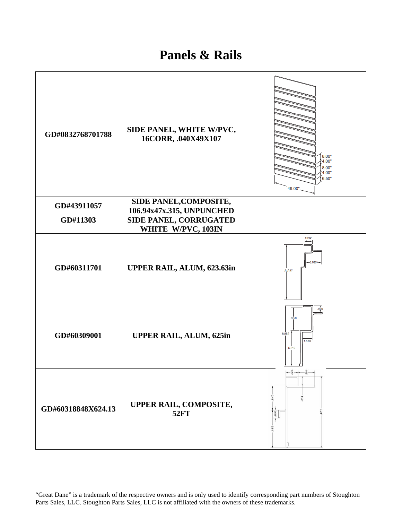#### **Panels & Rails**

| GD#0832768701788   | SIDE PANEL, WHITE W/PVC,<br>16CORR, .040X49X107     | 8.00"<br>4.00"<br>8.00"<br>4.00"<br>6.50"<br>49.00'           |
|--------------------|-----------------------------------------------------|---------------------------------------------------------------|
| GD#43911057        | SIDE PANEL, COMPOSITE,<br>106.94x47x.315, UNPUNCHED |                                                               |
| GD#11303           | SIDE PANEL, CORRUGATED<br>WHITE W/PVC, 103IN        |                                                               |
| GD#60311701        | UPPER RAIL, ALUM, 623.63in                          | 1.339<br>883"                                                 |
| GD#60309001        | <b>UPPER RAIL, ALUM, 625in</b>                      | .976<br>3.50<br>8.852<br>$\frac{1}{1.570}$<br>5.210           |
| GD#60318848X624.13 | UPPER RAIL, COMPOSITE,<br><b>52FT</b>               | $-\frac{1}{\omega}$ –<br>$\overline{9}$<br>$\rm S$<br>$-1.80$ |